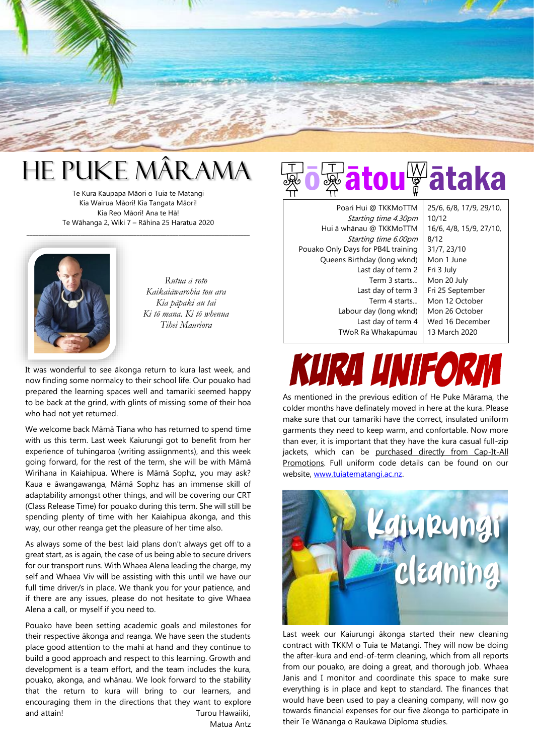

# He Puke Mârama

Te Kura Kaupapa Māori o Tuia te Matangi Kia Wairua Māori! Kia Tangata Māori! Kia Reo Māori! Ana te Hā! Te Wāhanga 2, Wiki 7 – Rāhina 25 Haratua 2020

\_\_\_\_\_\_\_\_\_\_\_\_\_\_\_\_\_\_\_\_\_\_\_\_\_\_\_\_\_\_\_\_\_\_\_\_\_\_\_\_\_\_\_\_\_\_\_\_\_\_\_\_\_\_\_\_\_\_\_\_\_\_\_\_\_\_\_\_\_\_\_\_\_\_\_



*Rutua ā roto Kaikaiāwarohia tou ara Kia pāpaki au tai Ki tō mana. Ki tō whenua Tihei Mauriora*

It was wonderful to see ākonga return to kura last week, and now finding some normalcy to their school life. Our pouako had prepared the learning spaces well and tamariki seemed happy to be back at the grind, with glints of missing some of their hoa who had not yet returned.

We welcome back Māmā Tiana who has returned to spend time with us this term. Last week Kaiurungi got to benefit from her experience of tuhingaroa (writing assiignments), and this week going forward, for the rest of the term, she will be with Māmā Wirihana in Kaiahipua. Where is Māmā Sophz, you may ask? Kaua e āwangawanga, Māmā Sophz has an immense skill of adaptability amongst other things, and will be covering our CRT (Class Release Time) for pouako during this term. She will still be spending plenty of time with her Kaiahipua ākonga, and this way, our other reanga get the pleasure of her time also.

As always some of the best laid plans don't always get off to a great start, as is again, the case of us being able to secure drivers for our transport runs. With Whaea Alena leading the charge, my self and Whaea Viv will be assisting with this until we have our full time driver/s in place. We thank you for your patience, and if there are any issues, please do not hesitate to give Whaea Alena a call, or myself if you need to.

Pouako have been setting academic goals and milestones for their respective ākonga and reanga. We have seen the students place good attention to the mahi at hand and they continue to build a good approach and respect to this learning. Growth and development is a team effort, and the team includes the kura, pouako, akonga, and whānau. We look forward to the stability that the return to kura will bring to our learners, and encouraging them in the directions that they want to explore and attain! Turou Hawaiiki, Matua Antz

tou<sup>w</sup>ātaka

Poari Hui @ TKKMoTTM Starting time 4.30pm Hui ā whānau @ TKKMoTTM Starting time 6.00pm Pouako Only Days for PB4L training Queens Birthday (long wknd) Last day of term 2 Term 3 starts... Last day of term 3 Term 4 starts... Labour day (long wknd) Last day of term 4 TWoR Rā Whakapūmau

25/6, 6/8, 17/9, 29/10, 10/12 16/6, 4/8, 15/9, 27/10, 8/12 31/7, 23/10 Mon 1 June Fri 3 July Mon 20 July Fri 25 September Mon 12 October Mon 26 October Wed 16 December 13 March 2020

# KURA UNI

As mentioned in the previous edition of He Puke Mārama, the colder months have definately moved in here at the kura. Please make sure that our tamariki have the correct, insulated uniform garments they need to keep warm, and confortable. Now more than ever, it is important that they have the kura casual full-zip jackets, which can be purchased directly from Cap-It-All Promotions. Full uniform code details can be found on our website, [www.tuiatematangi.ac.nz.](http://www.tuiatematangi.ac.nz/)



Last week our Kaiurungi ākonga started their new cleaning contract with TKKM o Tuia te Matangi. They will now be doing the after-kura and end-of-term cleaning, which from all reports from our pouako, are doing a great, and thorough job. Whaea Janis and I monitor and coordinate this space to make sure everything is in place and kept to standard. The finances that would have been used to pay a cleaning company, will now go towards financial expenses for our five ākonga to participate in their Te Wānanga o Raukawa Diploma studies.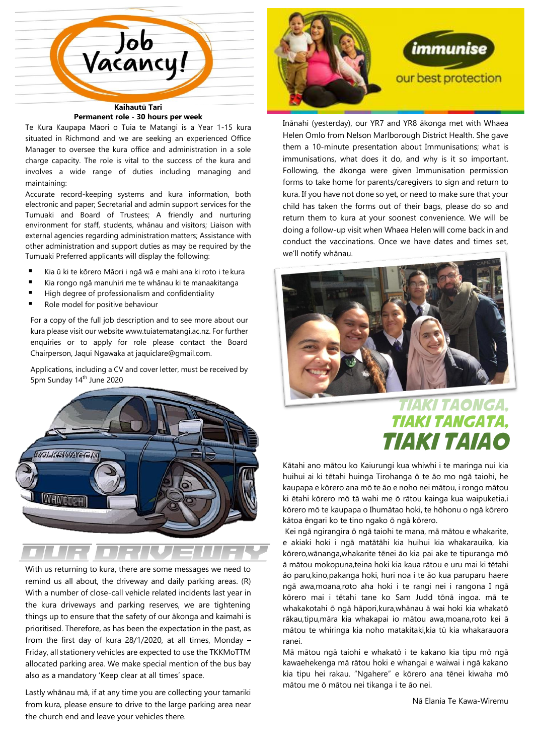

#### **Permanent role - 30 hours per week**

Te Kura Kaupapa Māori o Tuia te Matangi is a Year 1-15 kura situated in Richmond and we are seeking an experienced Office Manager to oversee the kura office and administration in a sole charge capacity. The role is vital to the success of the kura and involves a wide range of duties including managing and maintaining:

Accurate record-keeping systems and kura information, both electronic and paper; Secretarial and admin support services for the Tumuaki and Board of Trustees; A friendly and nurturing environment for staff, students, whānau and visitors; Liaison with external agencies regarding administration matters; Assistance with other administration and support duties as may be required by the Tumuaki Preferred applicants will display the following:

- Kia ū ki te kōrero Māori i ngā wā e mahi ana ki roto i te kura
- Kia rongo ngā manuhiri me te whānau ki te manaakitanga
- High degree of professionalism and confidentiality
- Role model for positive behaviour

For a copy of the full job description and to see more about our kura please visit our website [www.tuiatematangi.ac.nz.](http://www.tuiatematangi.ac.nz/) For further enquiries or to apply for role please contact the Board Chairperson, Jaqui Ngawaka a[t jaquiclare@gmail.com.](mailto:jaquiclare@gmail.com)

Applications, including a CV and cover letter, must be received by 5pm Sunday 14th June 2020



With us returning to kura, there are some messages we need to remind us all about, the driveway and daily parking areas. (R) With a number of close-call vehicle related incidents last year in the kura driveways and parking reserves, we are tightening things up to ensure that the safety of our ākonga and kaimahi is prioritised. Therefore, as has been the expectation in the past, as from the first day of kura 28/1/2020, at all times, Monday – Friday, all stationery vehicles are expected to use the TKKMoTTM allocated parking area. We make special mention of the bus bay also as a mandatory 'Keep clear at all times' space.

Lastly whānau mā, if at any time you are collecting your tamariki from kura, please ensure to drive to the large parking area near the church end and leave your vehicles there.



Inānahi (yesterday), our YR7 and YR8 ākonga met with Whaea Helen Omlo from Nelson Marlborough District Health. She gave them a 10-minute presentation about Immunisations; what is immunisations, what does it do, and why is it so important. Following, the ākonga were given Immunisation permission forms to take home for parents/caregivers to sign and return to kura. If you have not done so yet, or need to make sure that your child has taken the forms out of their bags, please do so and return them to kura at your soonest convenience. We will be doing a follow-up visit when Whaea Helen will come back in and conduct the vaccinations. Once we have dates and times set, we'll notify whānau.



### Tiaki taonga, tiaki tangata, tiaki taiao

Kātahi ano mātou ko Kaiurungi kua whiwhi i te maringa nui kia huihui ai ki tētahi huinga Tirohanga ō te āo mo ngā taiohi, he kaupapa e kōrero ana mō te āo e noho nei mātou, i rongo mātou ki ētahi kōrero mō tā wahi me ō rātou kainga kua waipuketia,i kōrero mō te kaupapa o Ihumātao hoki, te hōhonu o ngā kōrero kātoa ēngari ko te tino ngako ō ngā kōrero.

Kei ngā ngirangira ō ngā taiohi te mana, mā mātou e whakarite, e akiaki hoki i ngā matātāhi kia huihui kia whakarauika, kia kōrero,wānanga,whakarite tēnei āo kia pai ake te tipuranga mō ā mātou mokopuna,teina hoki kia kaua rātou e uru mai ki tētahi āo paru,kino,pakanga hoki, huri noa i te āo kua paruparu haere ngā awa,moana,roto aha hoki i te rangi nei i rangona I ngā kōrero mai i tētahi tane ko Sam Judd tōnā ingoa. mā te whakakotahi ō ngā hāpori,kura,whānau ā wai hoki kia whakatō rākau,tipu,māra kia whakapai io mātou awa,moana,roto kei ā mātou te whiringa kia noho matakitaki,kia tū kia whakarauora ranei.

Mā mātou ngā taiohi e whakatō i te kakano kia tipu mō ngā kawaehekenga mā rātou hoki e whangai e waiwai i ngā kakano kia tipu hei rakau. "Ngahere" e kōrero ana tēnei kiwaha mō mātou me ō mātou nei tikanga i te āo nei.